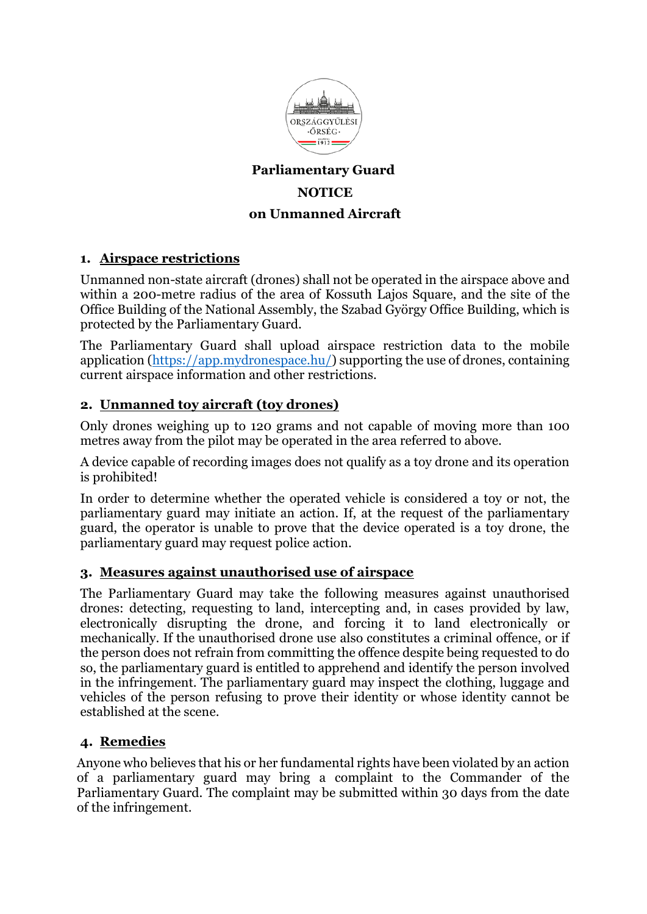

# **Parliamentary Guard NOTICE on Unmanned Aircraft**

# **1. Airspace restrictions**

Unmanned non-state aircraft (drones) shall not be operated in the airspace above and within a 200-metre radius of the area of Kossuth Lajos Square, and the site of the Office Building of the National Assembly, the Szabad György Office Building, which is protected by the Parliamentary Guard.

The Parliamentary Guard shall upload airspace restriction data to the mobile application [\(https://app.mydronespace.hu/\)](https://app.mydronespace.hu/) supporting the use of drones, containing current airspace information and other restrictions.

# **2. Unmanned toy aircraft (toy drones)**

Only drones weighing up to 120 grams and not capable of moving more than 100 metres away from the pilot may be operated in the area referred to above.

A device capable of recording images does not qualify as a toy drone and its operation is prohibited!

In order to determine whether the operated vehicle is considered a toy or not, the parliamentary guard may initiate an action. If, at the request of the parliamentary guard, the operator is unable to prove that the device operated is a toy drone, the parliamentary guard may request police action.

### **3. Measures against unauthorised use of airspace**

The Parliamentary Guard may take the following measures against unauthorised drones: detecting, requesting to land, intercepting and, in cases provided by law, electronically disrupting the drone, and forcing it to land electronically or mechanically. If the unauthorised drone use also constitutes a criminal offence, or if the person does not refrain from committing the offence despite being requested to do so, the parliamentary guard is entitled to apprehend and identify the person involved in the infringement. The parliamentary guard may inspect the clothing, luggage and vehicles of the person refusing to prove their identity or whose identity cannot be established at the scene.

### **4. Remedies**

Anyone who believes that his or her fundamental rights have been violated by an action of a parliamentary guard may bring a complaint to the Commander of the Parliamentary Guard. The complaint may be submitted within 30 days from the date of the infringement.